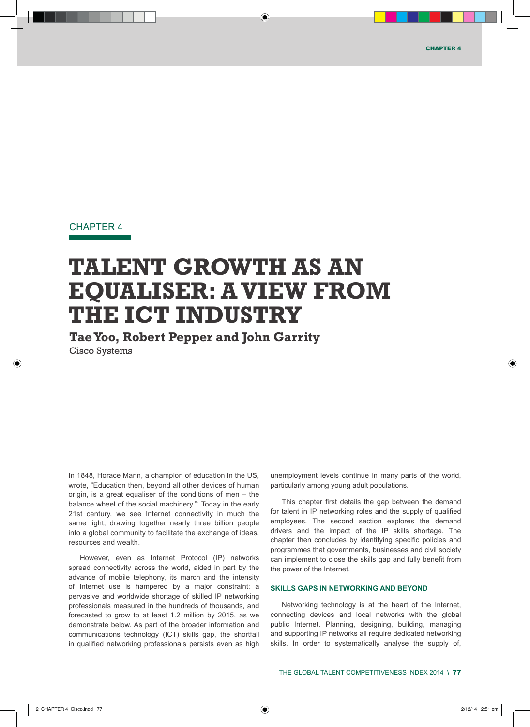# CHAPTER 4

# **TALENT GROWTH AS AN EQUALISER: A VIEW FROM THE ICT INDUSTRY**

**Tae Yoo, Robert Pepper and John Garrity** 

Cisco Systems

In 1848, Horace Mann, a champion of education in the US, wrote, "Education then, beyond all other devices of human origin, is a great equaliser of the conditions of men – the balance wheel of the social machinery."1 Today in the early 21st century, we see Internet connectivity in much the same light, drawing together nearly three billion people into a global community to facilitate the exchange of ideas, resources and wealth.

However, even as Internet Protocol (IP) networks spread connectivity across the world, aided in part by the advance of mobile telephony, its march and the intensity of Internet use is hampered by a major constraint: a pervasive and worldwide shortage of skilled IP networking professionals measured in the hundreds of thousands, and forecasted to grow to at least 1.2 million by 2015, as we demonstrate below. As part of the broader information and communications technology (ICT) skills gap, the shortfall in qualified networking professionals persists even as high

unemployment levels continue in many parts of the world, particularly among young adult populations.

This chapter first details the gap between the demand for talent in IP networking roles and the supply of qualified employees. The second section explores the demand drivers and the impact of the IP skills shortage. The chapter then concludes by identifying specific policies and programmes that governments, businesses and civil society can implement to close the skills gap and fully benefit from the power of the Internet.

# **SKILLS GAPS IN NETWORKING AND BEYOND**

Networking technology is at the heart of the Internet, connecting devices and local networks with the global public Internet. Planning, designing, building, managing and supporting IP networks all require dedicated networking skills. In order to systematically analyse the supply of,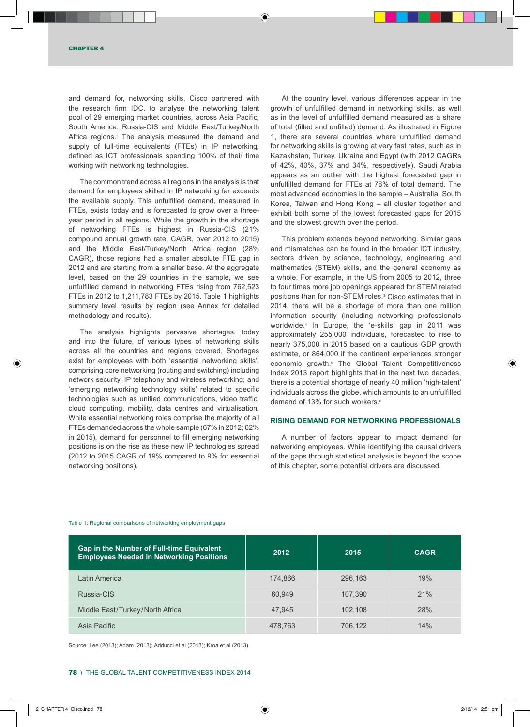and demand for, networking skills, Cisco partnered with the research firm IDC, to analyse the networking talent pool of 29 emerging market countries, across Asia Pacific, South America, Russia-CIS and Middle East/Turkey/North Africa regions.2 The analysis measured the demand and supply of full-time equivalents (FTEs) in IP networking, defined as ICT professionals spending 100% of their time working with networking technologies.

The common trend across all regions in the analysis is that demand for employees skilled in IP networking far exceeds the available supply. This unfulfilled demand, measured in FTEs, exists today and is forecasted to grow over a threeyear period in all regions. While the growth in the shortage of networking FTEs is highest in Russia-CIS (21% compound annual growth rate, CAGR, over 2012 to 2015) and the Middle East/Turkey/North Africa region (28% CAGR), those regions had a smaller absolute FTE gap in 2012 and are starting from a smaller base. At the aggregate level, based on the 29 countries in the sample, we see unfulfilled demand in networking FTEs rising from 762,523 FTEs in 2012 to 1,211,783 FTEs by 2015. Table 1 highlights summary level results by region (see Annex for detailed methodology and results).

The analysis highlights pervasive shortages, today and into the future, of various types of networking skills across all the countries and regions covered. Shortages exist for employees with both 'essential networking skills', comprising core networking (routing and switching) including network security, IP telephony and wireless networking; and 'emerging networking technology skills' related to specific technologies such as unified communications, video traffic, cloud computing, mobility, data centres and virtualisation. While essential networking roles comprise the majority of all FTEs demanded across the whole sample (67% in 2012; 62% in 2015), demand for personnel to fill emerging networking positions is on the rise as these new IP technologies spread (2012 to 2015 CAGR of 19% compared to 9% for essential networking positions).

At the country level, various differences appear in the growth of unfulfilled demand in networking skills, as well as in the level of unfulfilled demand measured as a share of total (filled and unfilled) demand. As illustrated in Figure 1, there are several countries where unfulfilled demand for networking skills is growing at very fast rates, such as in Kazakhstan, Turkey, Ukraine and Egypt (with 2012 CAGRs of 42%, 40%, 37% and 34%, respectively). Saudi Arabia appears as an outlier with the highest forecasted gap in unfulfilled demand for FTEs at 78% of total demand. The most advanced economies in the sample – Australia, South Korea, Taiwan and Hong Kong – all cluster together and exhibit both some of the lowest forecasted gaps for 2015 and the slowest growth over the period.

This problem extends beyond networking. Similar gaps and mismatches can be found in the broader ICT industry, sectors driven by science, technology, engineering and mathematics (STEM) skills, and the general economy as a whole. For example, in the US from 2005 to 2012, three to four times more job openings appeared for STEM related positions than for non-STEM roles.3 Cisco estimates that in 2014, there will be a shortage of more than one million information security (including networking professionals worldwide.4 In Europe, the 'e-skills' gap in 2011 was approximately 255,000 individuals, forecasted to rise to nearly 375,000 in 2015 based on a cautious GDP growth estimate, or 864,000 if the continent experiences stronger economic growth.5 The Global Talent Competitiveness Index 2013 report highlights that in the next two decades, there is a potential shortage of nearly 40 million 'high-talent' individuals across the globe, which amounts to an unfulfilled demand of 13% for such workers.<sup>6</sup>

### **RISING DEMAND FOR NETWORKING PROFESSIONALS**

A number of factors appear to impact demand for networking employees. While identifying the causal drivers of the gaps through statistical analysis is beyond the scope of this chapter, some potential drivers are discussed.

| Gap in the Number of Full-time Equivalent<br><b>Employees Needed in Networking Positions</b> | 2012    | 2015    | <b>CAGR</b> |
|----------------------------------------------------------------------------------------------|---------|---------|-------------|
| Latin America                                                                                | 174.866 | 296.163 | 19%         |
| Russia-CIS                                                                                   | 60.949  | 107.390 | 21%         |
| Middle East/Turkey/North Africa                                                              | 47.945  | 102.108 | 28%         |
| Asia Pacific                                                                                 | 478,763 | 706,122 | 14%         |

Table 1: Regional comparisons of networking employment gaps

Source: Lee (2013); Adam (2013); Adducci et al (2013); Kroa et al (2013)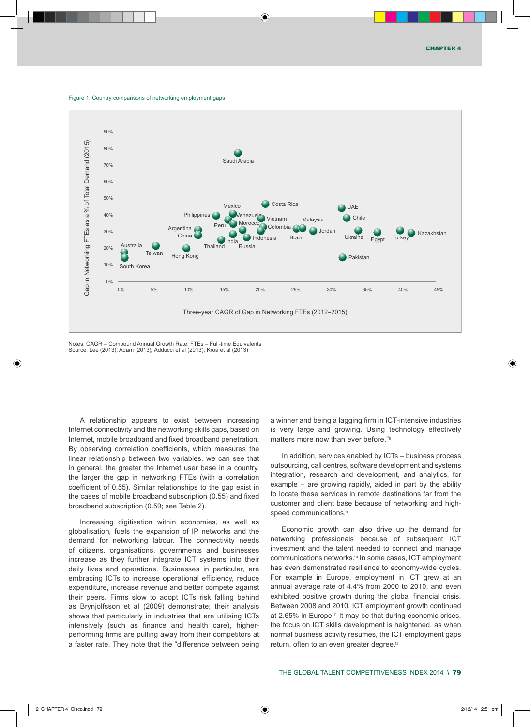



Notes: CAGR – Compound Annual Growth Rate; FTEs – Full-time Equivalents Source: Lee (2013); Adam (2013); Adducci et al (2013); Kroa et al (2013)

A relationship appears to exist between increasing Internet connectivity and the networking skills gaps, based on Internet, mobile broadband and fixed broadband penetration. By observing correlation coefficients, which measures the linear relationship between two variables, we can see that in general, the greater the Internet user base in a country, the larger the gap in networking FTEs (with a correlation coefficient of 0.55). Similar relationships to the gap exist in the cases of mobile broadband subscription (0.55) and fixed broadband subscription (0.59; see Table 2).

Increasing digitisation within economies, as well as globalisation*,* fuels the expansion of IP networks and the demand for networking labour. The connectivity needs of citizens, organisations, governments and businesses increase as they further integrate ICT systems into their daily lives and operations. Businesses in particular, are embracing ICTs to increase operational efficiency, reduce expenditure, increase revenue and better compete against their peers. Firms slow to adopt ICTs risk falling behind as Brynjolfsson et al (2009) demonstrate; their analysis shows that particularly in industries that are utilising ICTs intensively (such as finance and health care), higherperforming firms are pulling away from their competitors at a faster rate. They note that the "difference between being a winner and being a lagging firm in ICT-intensive industries is very large and growing. Using technology effectively matters more now than ever before."8

In addition, services enabled by ICTs – business process outsourcing, call centres, software development and systems integration, research and development, and analytics, for example – are growing rapidly, aided in part by the ability to locate these services in remote destinations far from the customer and client base because of networking and highspeed communications.<sup>9</sup>

Economic growth can also drive up the demand for networking professionals because of subsequent ICT investment and the talent needed to connect and manage communications networks.<sup>10</sup> In some cases, ICT employment has even demonstrated resilience to economy-wide cycles. For example in Europe, employment in ICT grew at an annual average rate of 4.4% from 2000 to 2010, and even exhibited positive growth during the global financial crisis. Between 2008 and 2010, ICT employment growth continued at 2.65% in Europe.<sup>11</sup> It may be that during economic crises, the focus on ICT skills development is heightened, as when normal business activity resumes, the ICT employment gaps return, often to an even greater degree.12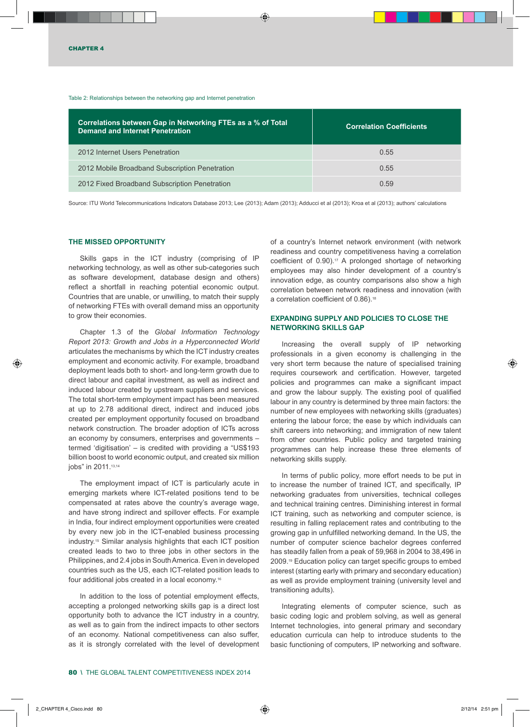#### Table 2: Relationships between the networking gap and Internet penetration

| Correlations between Gap in Networking FTEs as a % of Total<br>Demand and Internet Penetration | <b>Correlation Coefficients</b> |
|------------------------------------------------------------------------------------------------|---------------------------------|
| 2012 Internet Users Penetration                                                                | 0.55                            |
| 2012 Mobile Broadband Subscription Penetration                                                 | 0.55                            |
| 2012 Fixed Broadband Subscription Penetration                                                  | 0.59                            |

Source: ITU World Telecommunications Indicators Database 2013; Lee (2013); Adam (2013); Adducci et al (2013); Kroa et al (2013); authors' calculations

### **THE MISSED OPPORTUNITY**

Skills gaps in the ICT industry (comprising of IP networking technology, as well as other sub-categories such as software development, database design and others) reflect a shortfall in reaching potential economic output. Countries that are unable, or unwilling, to match their supply of networking FTEs with overall demand miss an opportunity to grow their economies.

Chapter 1.3 of the *Global Information Technology Report 2013: Growth and Jobs in a Hyperconnected World*  articulates the mechanisms by which the ICT industry creates employment and economic activity. For example, broadband deployment leads both to short- and long-term growth due to direct labour and capital investment, as well as indirect and induced labour created by upstream suppliers and services. The total short-term employment impact has been measured at up to 2.78 additional direct, indirect and induced jobs created per employment opportunity focused on broadband network construction. The broader adoption of ICTs across an economy by consumers, enterprises and governments – termed 'digitisation' – is credited with providing a "US\$193 billion boost to world economic output, and created six million jobs" in 2011.<sup>13,14</sup>

The employment impact of ICT is particularly acute in emerging markets where ICT-related positions tend to be compensated at rates above the country's average wage, and have strong indirect and spillover effects. For example in India, four indirect employment opportunities were created by every new job in the ICT-enabled business processing industry.15 Similar analysis highlights that each ICT position created leads to two to three jobs in other sectors in the Philippines, and 2.4 jobs in South America. Even in developed countries such as the US, each ICT-related position leads to four additional jobs created in a local economy.16

In addition to the loss of potential employment effects, accepting a prolonged networking skills gap is a direct lost opportunity both to advance the ICT industry in a country, as well as to gain from the indirect impacts to other sectors of an economy. National competitiveness can also suffer, as it is strongly correlated with the level of development

of a country's Internet network environment (with network readiness and country competitiveness having a correlation coefficient of 0.90).<sup>17</sup> A prolonged shortage of networking employees may also hinder development of a country's innovation edge, as country comparisons also show a high correlation between network readiness and innovation (with a correlation coefficient of 0.86).<sup>18</sup>

# **EXPANDING SUPPLY AND POLICIES TO CLOSE THE NETWORKING SKILLS GAP**

Increasing the overall supply of IP networking professionals in a given economy is challenging in the very short term because the nature of specialised training requires coursework and certification. However, targeted policies and programmes can make a significant impact and grow the labour supply. The existing pool of qualified labour in any country is determined by three main factors: the number of new employees with networking skills (graduates) entering the labour force; the ease by which individuals can shift careers into networking; and immigration of new talent from other countries. Public policy and targeted training programmes can help increase these three elements of networking skills supply.

In terms of public policy*,* more effort needs to be put in to increase the number of trained ICT, and specifically, IP networking graduates from universities, technical colleges and technical training centres. Diminishing interest in formal ICT training, such as networking and computer science, is resulting in falling replacement rates and contributing to the growing gap in unfulfilled networking demand. In the US, the number of computer science bachelor degrees conferred has steadily fallen from a peak of 59,968 in 2004 to 38,496 in 2009.19 Education policy can target specific groups to embed interest (starting early with primary and secondary education) as well as provide employment training (university level and transitioning adults).

Integrating elements of computer science, such as basic coding logic and problem solving, as well as general Internet technologies, into general primary and secondary education curricula can help to introduce students to the basic functioning of computers, IP networking and software.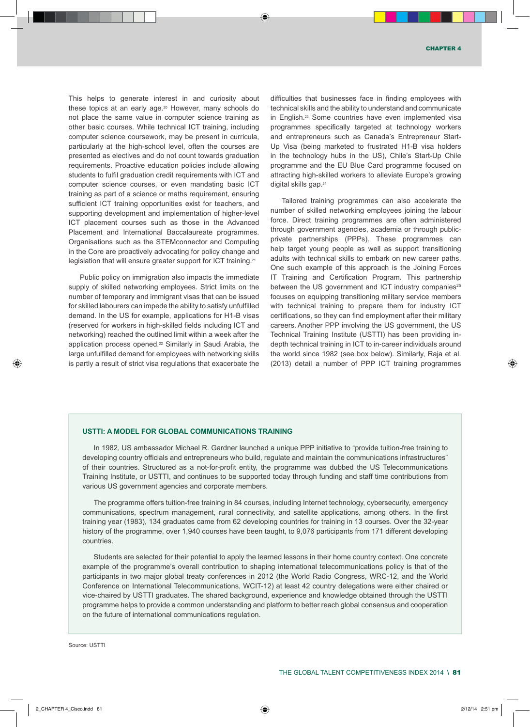This helps to generate interest in and curiosity about these topics at an early age.20 however, many schools do not place the same value in computer science training as other basic courses. While technical iCT training, including computer science coursework, may be present in curricula, particularly at the high-school level, often the courses are presented as electives and do not count towards graduation requirements. Proactive education policies include allowing students to fulfil graduation credit requirements with iCT and computer science courses, or even mandating basic iCT training as part of a science or maths requirement, ensuring sufficient iCT training opportunities exist for teachers, and supporting development and implementation of higher-level ICT placement courses such as those in the Advanced Placement and International Baccalaureate programmes. Organisations such as the STEMconnector and Computing in the Core are proactively advocating for policy change and legislation that will ensure greater support for iCT training.21

Public policy on immigration also impacts the immediate supply of skilled networking employees. Strict limits on the number of temporary and immigrant visas that can be issued for skilled labourers can impede the ability to satisfy unfulfilled demand. In the US for example, applications for H1-B visas (reserved for workers in high-skilled fields including iCT and networking) reached the outlined limit within a week after the application process opened.<sup>22</sup> Similarly in Saudi Arabia, the large unfulfilled demand for employees with networking skills is partly a result of strict visa regulations that exacerbate the difficulties that businesses face in finding employees with technical skills and the ability to understand and communicate in English.<sup>23</sup> Some countries have even implemented visa programmes specifically targeted at technology workers and entrepreneurs such as Canada's Entrepreneur Start-Up Visa (being marketed to frustrated H1-B visa holders in the technology hubs in the Us), Chile's start-Up Chile programme and the EU Blue Card programme focused on attracting high-skilled workers to alleviate Europe's growing digital skills gap.24

Tailored training programmes can also accelerate the number of skilled networking employees joining the labour force. Direct training programmes are often administered through government agencies, academia or through publicprivate partnerships (PPPs). These programmes can help target young people as well as support transitioning adults with technical skills to embark on new career paths. one such example of this approach is the Joining Forces IT Training and Certification Program. This partnership between the US government and ICT industry companies $25$ focuses on equipping transitioning military service members with technical training to prepare them for industry ICT certifications, so they can find employment after their military careers. Another PPP involving the US government, the US Technical Training institute (UsTTi) has been providing indepth technical training in iCT to in-career individuals around the world since 1982 (see box below). Similarly, Raja et al. (2013) detail a number of ppp iCT training programmes

#### **USTTI: A MODEL FOR GLOBAL COMMUNICATIONS TRAINING**

In 1982, US ambassador Michael R. Gardner launched a unique PPP initiative to "provide tuition-free training to developing country officials and entrepreneurs who build, regulate and maintain the communications infrastructures" of their countries. structured as a not-for-profit entity, the programme was dubbed the Us Telecommunications Training institute, or UsTTi, and continues to be supported today through funding and staff time contributions from various Us government agencies and corporate members.

The programme offers tuition-free training in 84 courses, including internet technology, cybersecurity, emergency communications, spectrum management, rural connectivity, and satellite applications, among others. in the first training year (1983), 134 graduates came from 62 developing countries for training in 13 courses. over the 32-year history of the programme, over 1,940 courses have been taught, to 9,076 participants from 171 different developing countries.

students are selected for their potential to apply the learned lessons in their home country context. one concrete example of the programme's overall contribution to shaping international telecommunications policy is that of the participants in two major global treaty conferences in 2012 (the World Radio Congress, WRC-12, and the World Conference on international Telecommunications, WCiT-12) at least 42 country delegations were either chaired or vice-chaired by UsTTi graduates. The shared background, experience and knowledge obtained through the UsTTi programme helps to provide a common understanding and platform to better reach global consensus and cooperation on the future of international communications regulation.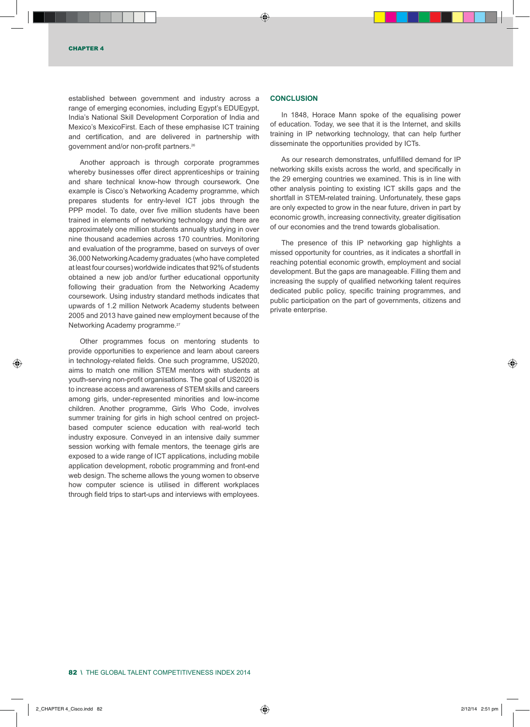established between government and industry across a range of emerging economies, including Egypt's EDUEgypt, India's National Skill Development Corporation of India and Mexico's MexicoFirst. Each of these emphasise ICT training and certification, and are delivered in partnership with government and/or non-profit partners.26

Another approach is through corporate programmes whereby businesses offer direct apprenticeships or training and share technical know-how through coursework. One example is Cisco's Networking Academy programme, which prepares students for entry-level ICT jobs through the PPP model. To date, over five million students have been trained in elements of networking technology and there are approximately one million students annually studying in over nine thousand academies across 170 countries. Monitoring and evaluation of the programme, based on surveys of over 36,000 Networking Academy graduates (who have completed at least four courses) worldwide indicates that 92% of students obtained a new job and/or further educational opportunity following their graduation from the Networking Academy coursework. Using industry standard methods indicates that upwards of 1.2 million Network Academy students between 2005 and 2013 have gained new employment because of the Networking Academy programme.<sup>27</sup>

Other programmes focus on mentoring students to provide opportunities to experience and learn about careers in technology-related fields. One such programme, US2020, aims to match one million STEM mentors with students at youth-serving non-profit organisations. The goal of US2020 is to increase access and awareness of STEM skills and careers among girls, under-represented minorities and low-income children. Another programme, Girls Who Code, involves summer training for girls in high school centred on projectbased computer science education with real-world tech industry exposure. Conveyed in an intensive daily summer session working with female mentors, the teenage girls are exposed to a wide range of ICT applications, including mobile application development, robotic programming and front-end web design. The scheme allows the young women to observe how computer science is utilised in different workplaces through field trips to start-ups and interviews with employees.

# **CONCLUSION**

In 1848, Horace Mann spoke of the equalising power of education. Today, we see that it is the Internet, and skills training in IP networking technology, that can help further disseminate the opportunities provided by ICTs.

As our research demonstrates, unfulfilled demand for IP networking skills exists across the world, and specifically in the 29 emerging countries we examined. This is in line with other analysis pointing to existing ICT skills gaps and the shortfall in STEM-related training. Unfortunately, these gaps are only expected to grow in the near future, driven in part by economic growth, increasing connectivity, greater digitisation of our economies and the trend towards globalisation.

The presence of this IP networking gap highlights a missed opportunity for countries, as it indicates a shortfall in reaching potential economic growth, employment and social development. But the gaps are manageable. Filling them and increasing the supply of qualified networking talent requires dedicated public policy, specific training programmes, and public participation on the part of governments, citizens and private enterprise.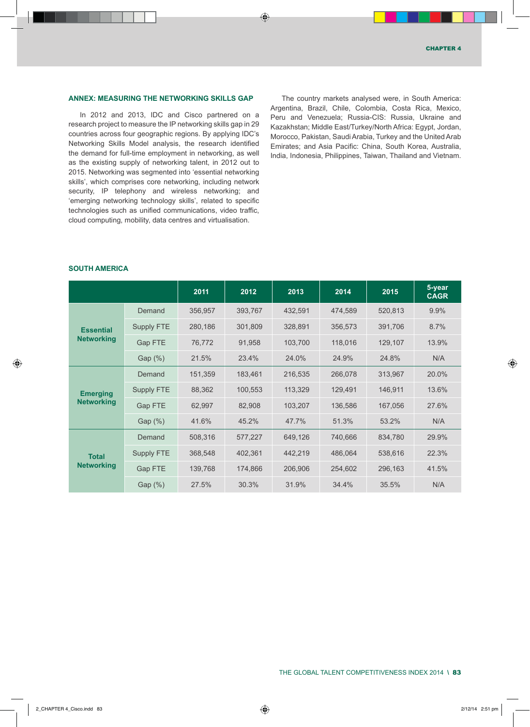#### **Annex: Measuring the Networking Skills Gap**

In 2012 and 2013, IDC and Cisco partnered on a research project to measure the IP networking skills gap in 29 countries across four geographic regions. By applying IDC's Networking Skills Model analysis, the research identified the demand for full-time employment in networking, as well as the existing supply of networking talent, in 2012 out to 2015. Networking was segmented into 'essential networking skills', which comprises core networking, including network security, IP telephony and wireless networking; and 'emerging networking technology skills', related to specific technologies such as unified communications, video traffic, cloud computing, mobility, data centres and virtualisation.

The country markets analysed were, in South America: Argentina, Brazil, Chile, Colombia, Costa Rica, Mexico, Peru and Venezuela; Russia-CIS: Russia, Ukraine and Kazakhstan; Middle East/Turkey/North Africa: Egypt, Jordan, Morocco, Pakistan, Saudi Arabia, Turkey and the United Arab Emirates; and Asia Pacific: China, South Korea, Australia, India, Indonesia, Philippines, Taiwan, Thailand and Vietnam.

# **South America**

|                                       |                   | 2011    | 2012    | 2013    | 2014    | 2015    | 5-year<br><b>CAGR</b> |
|---------------------------------------|-------------------|---------|---------|---------|---------|---------|-----------------------|
| <b>Essential</b><br><b>Networking</b> | Demand            | 356,957 | 393,767 | 432,591 | 474,589 | 520,813 | 9.9%                  |
|                                       | <b>Supply FTE</b> | 280,186 | 301,809 | 328,891 | 356,573 | 391,706 | 8.7%                  |
|                                       | <b>Gap FTE</b>    | 76,772  | 91,958  | 103,700 | 118,016 | 129,107 | 13.9%                 |
|                                       | Gap (%)           | 21.5%   | 23.4%   | 24.0%   | 24.9%   | 24.8%   | N/A                   |
| <b>Emerging</b><br><b>Networking</b>  | Demand            | 151,359 | 183,461 | 216,535 | 266,078 | 313,967 | 20.0%                 |
|                                       | Supply FTE        | 88,362  | 100,553 | 113,329 | 129,491 | 146,911 | 13.6%                 |
|                                       | <b>Gap FTE</b>    | 62,997  | 82,908  | 103,207 | 136,586 | 167,056 | 27.6%                 |
|                                       | Gap (%)           | 41.6%   | 45.2%   | 47.7%   | 51.3%   | 53.2%   | N/A                   |
| <b>Total</b><br><b>Networking</b>     | Demand            | 508,316 | 577,227 | 649,126 | 740,666 | 834,780 | 29.9%                 |
|                                       | Supply FTE        | 368,548 | 402,361 | 442,219 | 486,064 | 538,616 | 22.3%                 |
|                                       | <b>Gap FTE</b>    | 139,768 | 174,866 | 206,906 | 254,602 | 296,163 | 41.5%                 |
|                                       | Gap (%)           | 27.5%   | 30.3%   | 31.9%   | 34.4%   | 35.5%   | N/A                   |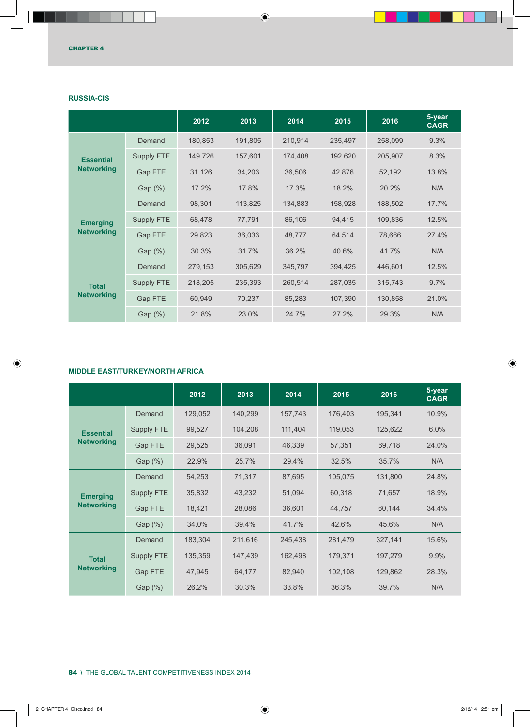|                                       |                   | 2012    | 2013    | 2014    | 2015    | 2016    | 5-year<br><b>CAGR</b> |
|---------------------------------------|-------------------|---------|---------|---------|---------|---------|-----------------------|
| <b>Essential</b><br><b>Networking</b> | Demand            | 180,853 | 191,805 | 210,914 | 235,497 | 258,099 | 9.3%                  |
|                                       | Supply FTE        | 149,726 | 157,601 | 174,408 | 192,620 | 205,907 | 8.3%                  |
|                                       | <b>Gap FTE</b>    | 31,126  | 34,203  | 36,506  | 42,876  | 52,192  | 13.8%                 |
|                                       | Gap (%)           | 17.2%   | 17.8%   | 17.3%   | 18.2%   | 20.2%   | N/A                   |
| <b>Emerging</b><br><b>Networking</b>  | Demand            | 98,301  | 113,825 | 134,883 | 158,928 | 188,502 | 17.7%                 |
|                                       | Supply FTE        | 68,478  | 77,791  | 86,106  | 94,415  | 109,836 | 12.5%                 |
|                                       | <b>Gap FTE</b>    | 29,823  | 36,033  | 48,777  | 64,514  | 78,666  | 27.4%                 |
|                                       | Gap (%)           | 30.3%   | 31.7%   | 36.2%   | 40.6%   | 41.7%   | N/A                   |
| <b>Total</b><br><b>Networking</b>     | Demand            | 279,153 | 305,629 | 345,797 | 394,425 | 446,601 | 12.5%                 |
|                                       | <b>Supply FTE</b> | 218,205 | 235,393 | 260,514 | 287,035 | 315,743 | 9.7%                  |
|                                       | Gap FTE           | 60,949  | 70,237  | 85,283  | 107,390 | 130,858 | 21.0%                 |
|                                       | Gap (%)           | 21.8%   | 23.0%   | 24.7%   | 27.2%   | 29.3%   | N/A                   |

# **Russia-CIS**

# **Middle East/Turkey/North Africa**

|                                      |                | 2012    | 2013    | 2014    | 2015    | 2016    | 5-year<br><b>CAGR</b> |
|--------------------------------------|----------------|---------|---------|---------|---------|---------|-----------------------|
|                                      | Demand         | 129,052 | 140,299 | 157,743 | 176,403 | 195,341 | 10.9%                 |
| <b>Essential</b>                     | Supply FTE     | 99,527  | 104,208 | 111,404 | 119,053 | 125,622 | 6.0%                  |
| <b>Networking</b>                    | Gap FTE        | 29,525  | 36,091  | 46,339  | 57,351  | 69,718  | 24.0%                 |
|                                      | Gap (%)        | 22.9%   | 25.7%   | 29.4%   | 32.5%   | 35.7%   | N/A                   |
| <b>Emerging</b><br><b>Networking</b> | Demand         | 54,253  | 71,317  | 87,695  | 105,075 | 131,800 | 24.8%                 |
|                                      | Supply FTE     | 35,832  | 43,232  | 51,094  | 60,318  | 71,657  | 18.9%                 |
|                                      | <b>Gap FTE</b> | 18,421  | 28,086  | 36,601  | 44,757  | 60,144  | 34.4%                 |
|                                      | Gap $(\%)$     | 34.0%   | 39.4%   | 41.7%   | 42.6%   | 45.6%   | N/A                   |
| <b>Total</b><br><b>Networking</b>    | Demand         | 183,304 | 211,616 | 245,438 | 281,479 | 327,141 | 15.6%                 |
|                                      | Supply FTE     | 135,359 | 147,439 | 162,498 | 179,371 | 197,279 | 9.9%                  |
|                                      | <b>Gap FTE</b> | 47,945  | 64,177  | 82,940  | 102,108 | 129,862 | 28.3%                 |
|                                      | Gap $(\%)$     | 26.2%   | 30.3%   | 33.8%   | 36.3%   | 39.7%   | N/A                   |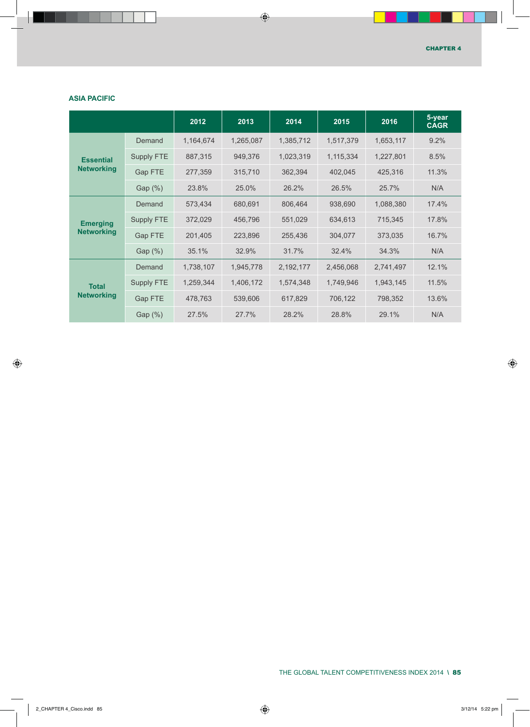# **Asia Pacific**

|                                      |                   | 2012      | 2013      | 2014      | 2015      | 2016      | 5-year<br><b>CAGR</b> |
|--------------------------------------|-------------------|-----------|-----------|-----------|-----------|-----------|-----------------------|
|                                      | Demand            | 1,164,674 | 1,265,087 | 1,385,712 | 1,517,379 | 1,653,117 | 9.2%                  |
| <b>Essential</b>                     | Supply FTE        | 887,315   | 949,376   | 1,023,319 | 1,115,334 | 1,227,801 | 8.5%                  |
| <b>Networking</b>                    | Gap FTE           | 277,359   | 315,710   | 362,394   | 402,045   | 425,316   | 11.3%                 |
|                                      | Gap $(\%)$        | 23.8%     | 25.0%     | 26.2%     | 26.5%     | 25.7%     | N/A                   |
| <b>Emerging</b><br><b>Networking</b> | Demand            | 573,434   | 680,691   | 806,464   | 938,690   | 1,088,380 | 17.4%                 |
|                                      | <b>Supply FTE</b> | 372,029   | 456,796   | 551,029   | 634,613   | 715,345   | 17.8%                 |
|                                      | <b>Gap FTE</b>    | 201,405   | 223,896   | 255,436   | 304,077   | 373,035   | 16.7%                 |
|                                      | Gap $(\%)$        | 35.1%     | 32.9%     | 31.7%     | 32.4%     | 34.3%     | N/A                   |
| <b>Total</b><br><b>Networking</b>    | Demand            | 1,738,107 | 1,945,778 | 2,192,177 | 2,456,068 | 2,741,497 | 12.1%                 |
|                                      | <b>Supply FTE</b> | 1,259,344 | 1,406,172 | 1,574,348 | 1,749,946 | 1,943,145 | 11.5%                 |
|                                      | Gap FTE           | 478,763   | 539,606   | 617,829   | 706,122   | 798,352   | 13.6%                 |
|                                      | Gap $(\%)$        | 27.5%     | 27.7%     | 28.2%     | 28.8%     | 29.1%     | N/A                   |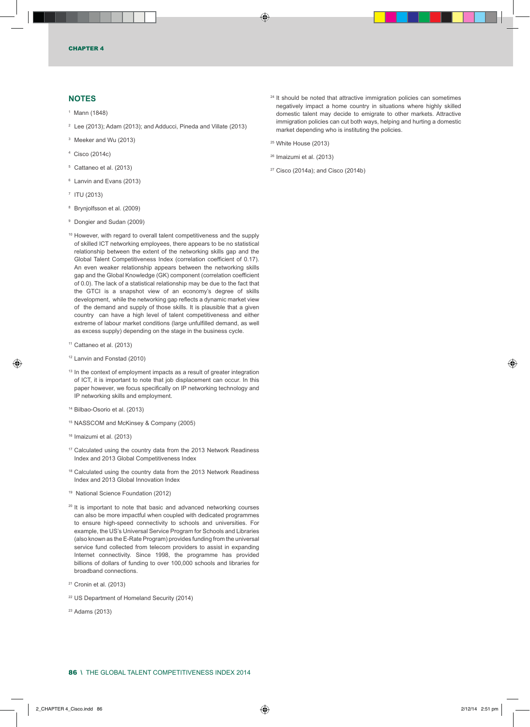## **NOTES**

- 1 Mann (1848)
- $2$  Lee (2013); Adam (2013); and Adducci, Pineda and Villate (2013)
- 3 Meeker and Wu (2013)
- 4 Cisco (2014c)
- <sup>5</sup> Cattaneo et al. (2013)
- 6 Lanvin and Evans (2013)
- 7 ITU (2013)
- 8 Brynjolfsson et al. (2009)
- 9 Dongier and Sudan (2009)
- <sup>10</sup> However, with regard to overall talent competitiveness and the supply of skilled ICT networking employees, there appears to be no statistical relationship between the extent of the networking skills gap and the Global Talent Competitiveness Index (correlation coefficient of 0.17). An even weaker relationship appears between the networking skills gap and the Global Knowledge (GK) component (correlation coefficient of 0.0). The lack of a statistical relationship may be due to the fact that the GTCI is a snapshot view of an economy's degree of skills development, while the networking gap reflects a dynamic market view of the demand and supply of those skills. It is plausible that a given country can have a high level of talent competitiveness and either extreme of labour market conditions (large unfulfilled demand, as well as excess supply) depending on the stage in the business cycle.
- <sup>11</sup> Cattaneo et al. (2013)
- 12 Lanvin and Fonstad (2010)
- <sup>13</sup> In the context of employment impacts as a result of greater integration of ICT, it is important to note that job displacement can occur. In this paper however, we focus specifically on IP networking technology and IP networking skills and employment.
- 14 Bilbao-Osorio et al. (2013)
- 15 NASSCOM and McKinsey & Company (2005)
- 16 Imaizumi et al. (2013)
- <sup>17</sup> Calculated using the country data from the 2013 Network Readiness Index and 2013 Global Competitiveness Index
- 18 Calculated using the country data from the 2013 Network Readiness Index and 2013 Global Innovation Index
- 19 National Science Foundation (2012)
- $20$  It is important to note that basic and advanced networking courses can also be more impactful when coupled with dedicated programmes to ensure high-speed connectivity to schools and universities. For example, the US's Universal Service Program for Schools and Libraries (also known as the E-Rate Program) provides funding from the universal service fund collected from telecom providers to assist in expanding Internet connectivity. Since 1998, the programme has provided billions of dollars of funding to over 100,000 schools and libraries for broadband connections.
- <sup>21</sup> Cronin et al. (2013)
- <sup>22</sup> US Department of Homeland Security (2014)
- <sup>23</sup> Adams (2013)
- $24$  It should be noted that attractive immigration policies can sometimes negatively impact a home country in situations where highly skilled domestic talent may decide to emigrate to other markets. Attractive immigration policies can cut both ways, helping and hurting a domestic market depending who is instituting the policies.
- <sup>25</sup> White House (2013)
- <sup>26</sup> Imaizumi et al. (2013)
- <sup>27</sup> Cisco (2014a); and Cisco (2014b)